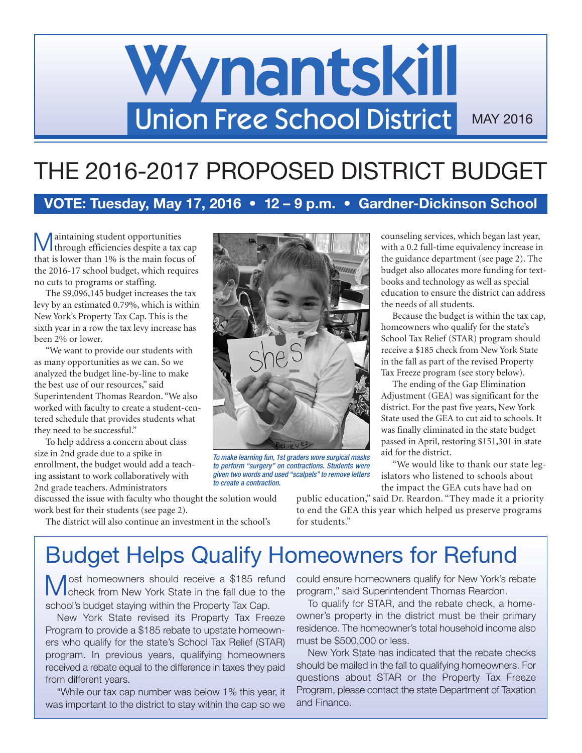# Wynantskill Union Free School District MAY 2016

# THE 2016-2017 PROPOSED DISTRICT BUDGET

**VOTE: Tuesday, May 17, 2016 • 12 – 9 p.m. • Gardner-Dickinson School**

aintaining student opportunities I through efficiencies despite a tax cap that is lower than 1% is the main focus of the 2016-17 school budget, which requires no cuts to programs or staffing.

The \$9,096,145 budget increases the tax levy by an estimated 0.79%, which is within New York's Property Tax Cap. This is the sixth year in a row the tax levy increase has been 2% or lower.

"We want to provide our students with as many opportunities as we can. So we analyzed the budget line-by-line to make the best use of our resources," said Superintendent Thomas Reardon. "We also worked with faculty to create a student-centered schedule that provides students what they need to be successful."

To help address a concern about class size in 2nd grade due to a spike in enrollment, the budget would add a teaching assistant to work collaboratively with 2nd grade teachers. Administrators

discussed the issue with faculty who thought the solution would work best for their students (see page 2).



*To make learning fun, 1st graders wore surgical masks to perform "surgery" on contractions. Students were given two words and used "scalpels" to remove letters to create a contraction.*

The district will also continue an investment in the school's

public education," said Dr. Reardon. "They made it a priority to end the GEA this year which helped us preserve programs for students."

# Budget Helps Qualify Homeowners for Refund

**Most homeowners should receive a \$185 refund** check from New York State in the fall due to the school's budget staying within the Property Tax Cap.

New York State revised its Property Tax Freeze Program to provide a \$185 rebate to upstate homeowners who qualify for the state's School Tax Relief (STAR) program. In previous years, qualifying homeowners received a rebate equal to the difference in taxes they paid from different years.

"While our tax cap number was below 1% this year, it was important to the district to stay within the cap so we

could ensure homeowners qualify for New York's rebate program," said Superintendent Thomas Reardon.

To qualify for STAR, and the rebate check, a homeowner's property in the district must be their primary residence. The homeowner's total household income also must be \$500,000 or less.

New York State has indicated that the rebate checks should be mailed in the fall to qualifying homeowners. For questions about STAR or the Property Tax Freeze Program, please contact the state Department of Taxation and Finance.

counseling services, which began last year, with a 0.2 full-time equivalency increase in the guidance department (see page 2). The budget also allocates more funding for textbooks and technology as well as special education to ensure the district can address the needs of all students.

Because the budget is within the tax cap, homeowners who qualify for the state's School Tax Relief (STAR) program should receive a \$185 check from New York State in the fall as part of the revised Property Tax Freeze program (see story below).

The ending of the Gap Elimination Adjustment (GEA) was significant for the district. For the past five years, New York State used the GEA to cut aid to schools. It was finally eliminated in the state budget passed in April, restoring \$151,301 in state aid for the district.

"We would like to thank our state legislators who listened to schools about the impact the GEA cuts have had on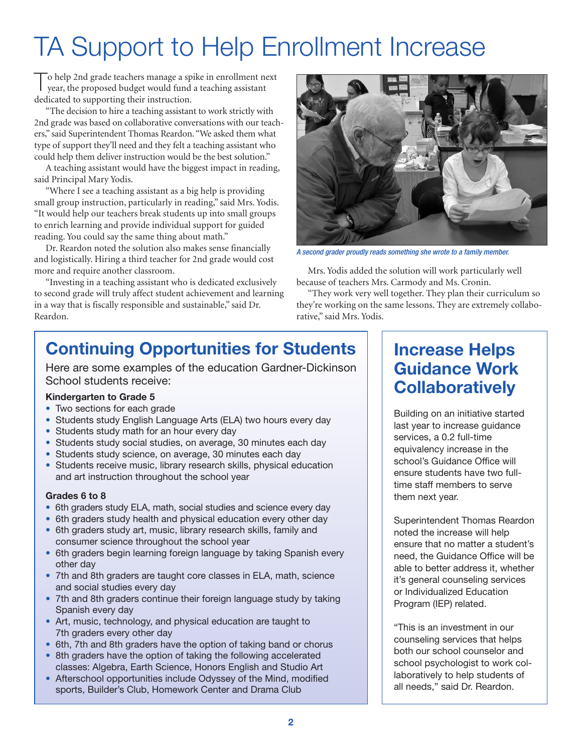# TA Support to Help Enrollment Increase

T<sup>o</sup> help 2nd grade teachers manage <sup>a</sup> spike in enrollment next year, the proposed budget would fund a teaching assistant dedicated to supporting their instruction.

"The decision to hire a teaching assistant to work strictly with 2nd grade was based on collaborative conversations with our teachers," said Superintendent Thomas Reardon. "We asked them what type of support they'll need and they felt a teaching assistant who could help them deliver instruction would be the best solution."

A teaching assistant would have the biggest impact in reading, said Principal Mary Yodis.

"Where I see a teaching assistant as a big help is providing small group instruction, particularly in reading," said Mrs. Yodis. "It would help our teachers break students up into small groups to enrich learning and provide individual support for guided reading. You could say the same thing about math."

Dr. Reardon noted the solution also makes sense financially and logistically. Hiring a third teacher for 2nd grade would cost more and require another classroom.

"Investing in a teaching assistant who is dedicated exclusively to second grade will truly affect student achievement and learning in a way that is fiscally responsible and sustainable," said Dr. Reardon.



*A second grader proudly reads something she wrote to a family member.*

Mrs. Yodis added the solution will work particularly well because of teachers Mrs. Carmody and Ms. Cronin.

"They work very well together. They plan their curriculum so they're working on the same lessons. They are extremely collaborative," said Mrs. Yodis.

# **Continuing Opportunities for Students**

Here are some examples of the education Gardner-Dickinson School students receive:

### **Kindergarten to Grade 5**

- Two sections for each grade
- Students study English Language Arts (ELA) two hours every day
- Students study math for an hour every day
- Students study social studies, on average, 30 minutes each day
- Students study science, on average, 30 minutes each day
- Students receive music, library research skills, physical education and art instruction throughout the school year

### **Grades 6 to 8**

- 6th graders study ELA, math, social studies and science every day
- 6th graders study health and physical education every other day
- 6th graders study art, music, library research skills, family and consumer science throughout the school year
- 6th graders begin learning foreign language by taking Spanish every other day
- 7th and 8th graders are taught core classes in ELA, math, science and social studies every day
- 7th and 8th graders continue their foreign language study by taking Spanish every day
- Art, music, technology, and physical education are taught to 7th graders every other day
- 6th, 7th and 8th graders have the option of taking band or chorus
- 8th graders have the option of taking the following accelerated classes: Algebra, Earth Science, Honors English and Studio Art
- Afterschool opportunities include Odyssey of the Mind, modified sports, Builder's Club, Homework Center and Drama Club

## **Increase Helps Guidance Work Collaboratively**

Building on an initiative started last year to increase guidance services, a 0.2 full-time equivalency increase in the school's Guidance Office will ensure students have two fulltime staff members to serve them next year.

Superintendent Thomas Reardon noted the increase will help ensure that no matter a student's need, the Guidance Office will be able to better address it, whether it's general counseling services or Individualized Education Program (IEP) related.

"This is an investment in our counseling services that helps both our school counselor and school psychologist to work collaboratively to help students of all needs," said Dr. Reardon.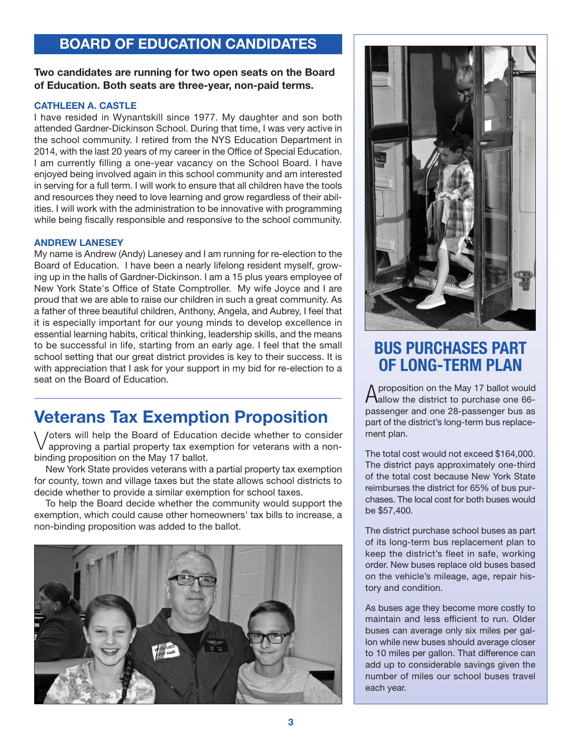## **BOARD OF EDUCATION CANDIDATES**

### **Two candidates are running for two open seats on the Board of Education. Both seats are three-year, non-paid terms.**

#### **CATHLEEN A. CASTLE**

I have resided in Wynantskill since 1977. My daughter and son both attended Gardner-Dickinson School. During that time, I was very active in the school community. I retired from the NYS Education Department in 2014, with the last 20 years of my career in the Office of Special Education. I am currently filling a one-year vacancy on the School Board. I have enjoyed being involved again in this school community and am interested in serving for a full term. I will work to ensure that all children have the tools and resources they need to love learning and grow regardless of their abilities. I will work with the administration to be innovative with programming while being fiscally responsible and responsive to the school community.

#### **ANDREW LANESEY**

My name is Andrew (Andy) Lanesey and I am running for re-election to the Board of Education. I have been a nearly lifelong resident myself, growing up in the halls of Gardner-Dickinson. I am a 15 plus years employee of New York State's Office of State Comptroller. My wife Joyce and I are proud that we are able to raise our children in such a great community. As a father of three beautiful children, Anthony, Angela, and Aubrey, I feel that it is especially important for our young minds to develop excellence in essential learning habits, critical thinking, leadership skills, and the means to be successful in life, starting from an early age. I feel that the small school setting that our great district provides is key to their success. It is with appreciation that I ask for your support in my bid for re-election to a seat on the Board of Education.

## **Veterans Tax Exemption Proposition**

\ /oters will help the Board of Education decide whether to consider approving a partial property tax exemption for veterans with a nonbinding proposition on the May 17 ballot.

New York State provides veterans with a partial property tax exemption for county, town and village taxes but the state allows school districts to decide whether to provide a similar exemption for school taxes.

To help the Board decide whether the community would support the exemption, which could cause other homeowners' tax bills to increase, a non-binding proposition was added to the ballot.





## **BUS PURCHASES PART OF LONG-TERM PLAN**

Aproposition on the May <sup>17</sup> ballot would allow the district to purchase one 66 passenger and one 28-passenger bus as part of the district's long-term bus replacement plan.

The total cost would not exceed \$164,000. The district pays approximately one-third of the total cost because New York State reimburses the district for 65% of bus purchases. The local cost for both buses would be \$57,400.

The district purchase school buses as part of its long-term bus replacement plan to keep the district's fleet in safe, working order. New buses replace old buses based on the vehicle's mileage, age, repair history and condition.

As buses age they become more costly to maintain and less efficient to run. Older buses can average only six miles per gallon while new buses should average closer to 10 miles per gallon. That difference can add up to considerable savings given the number of miles our school buses travel each year.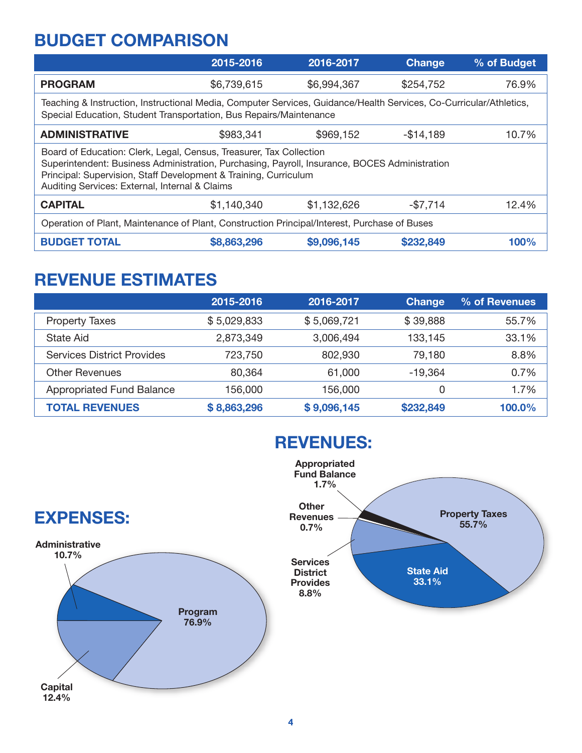## **BUDGET COMPARISON**

|                                                                                                                                                                                                                                                                                            | 2015-2016   | 2016-2017   | <b>Change</b> | % of Budget |
|--------------------------------------------------------------------------------------------------------------------------------------------------------------------------------------------------------------------------------------------------------------------------------------------|-------------|-------------|---------------|-------------|
| <b>PROGRAM</b>                                                                                                                                                                                                                                                                             | \$6,739,615 | \$6,994,367 | \$254,752     | 76.9%       |
| Teaching & Instruction, Instructional Media, Computer Services, Guidance/Health Services, Co-Curricular/Athletics,<br>Special Education, Student Transportation, Bus Repairs/Maintenance                                                                                                   |             |             |               |             |
| <b>ADMINISTRATIVE</b>                                                                                                                                                                                                                                                                      | \$983,341   | \$969,152   | $-$14,189$    | 10.7%       |
| Board of Education: Clerk, Legal, Census, Treasurer, Tax Collection<br>Superintendent: Business Administration, Purchasing, Payroll, Insurance, BOCES Administration<br>Principal: Supervision, Staff Development & Training, Curriculum<br>Auditing Services: External, Internal & Claims |             |             |               |             |
| <b>CAPITAL</b>                                                                                                                                                                                                                                                                             | \$1,140,340 | \$1,132,626 | $-$7,714$     | 12.4%       |
| Operation of Plant, Maintenance of Plant, Construction Principal/Interest, Purchase of Buses                                                                                                                                                                                               |             |             |               |             |
| <b>BUDGET TOTAL</b>                                                                                                                                                                                                                                                                        | \$8,863,296 | \$9,096,145 | \$232,849     | 100%        |

## **REVENUE ESTIMATES**

|                                   | 2015-2016   | 2016-2017   | <b>Change</b> | % of Revenues |
|-----------------------------------|-------------|-------------|---------------|---------------|
| <b>Property Taxes</b>             | \$5,029,833 | \$5,069,721 | \$39,888      | 55.7%         |
| State Aid                         | 2,873,349   | 3,006,494   | 133,145       | 33.1%         |
| <b>Services District Provides</b> | 723,750     | 802,930     | 79,180        | 8.8%          |
| <b>Other Revenues</b>             | 80,364      | 61,000      | -19,364       | 0.7%          |
| <b>Appropriated Fund Balance</b>  | 156.000     | 156,000     | 0             | 1.7%          |
| <b>TOTAL REVENUES</b>             | \$8,863,296 | \$9,096,145 | \$232,849     | 100.0%        |



## **REVENUES:**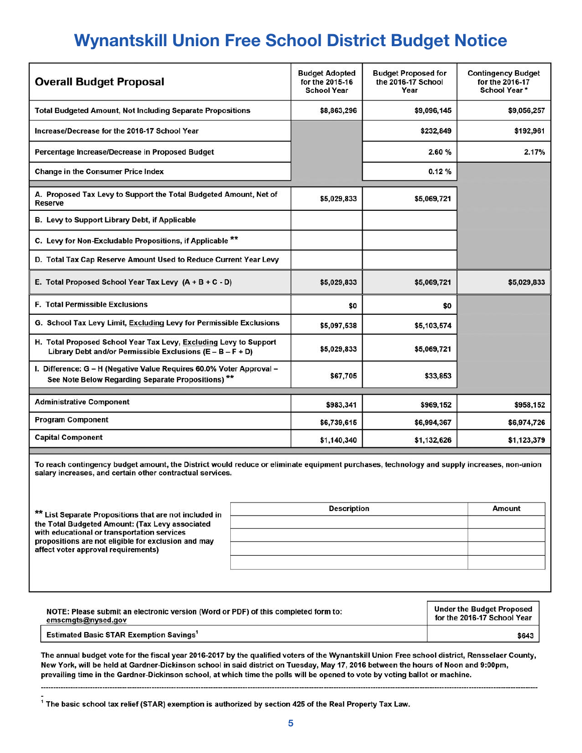# **Wynantskill Union Free School District Budget Notice**

| <b>Overall Budget Proposal</b>                                                                                                  | <b>Budget Adopted</b><br>for the 2015-16<br><b>School Year</b> | <b>Budget Proposed for</b><br>the 2016-17 School<br>Year | <b>Contingency Budget</b><br>for the 2016-17<br>School Year* |
|---------------------------------------------------------------------------------------------------------------------------------|----------------------------------------------------------------|----------------------------------------------------------|--------------------------------------------------------------|
| <b>Total Budgeted Amount, Not Including Separate Propositions</b>                                                               | \$8,863,296                                                    | \$9,096,145                                              | \$9,056,257                                                  |
| Increase/Decrease for the 2016-17 School Year                                                                                   |                                                                | \$232,849                                                | \$192,961                                                    |
| Percentage Increase/Decrease in Proposed Budget                                                                                 |                                                                | 2.60%                                                    | 2.17%                                                        |
| <b>Change in the Consumer Price Index</b>                                                                                       |                                                                | 0.12%                                                    |                                                              |
| A. Proposed Tax Levy to Support the Total Budgeted Amount, Net of<br><b>Reserve</b>                                             | \$5,029,833                                                    | \$5,069,721                                              |                                                              |
| B. Levy to Support Library Debt, if Applicable                                                                                  |                                                                |                                                          |                                                              |
| C. Levy for Non-Excludable Propositions, if Applicable **                                                                       |                                                                |                                                          |                                                              |
| D. Total Tax Cap Reserve Amount Used to Reduce Current Year Levy                                                                |                                                                |                                                          |                                                              |
| E. Total Proposed School Year Tax Levy (A + B + C - D)                                                                          | \$5,029,833                                                    | \$5,069,721                                              | \$5,029,833                                                  |
| <b>F. Total Permissible Exclusions</b>                                                                                          | \$0                                                            | \$0                                                      |                                                              |
| G. School Tax Levy Limit, Excluding Levy for Permissible Exclusions                                                             | \$5,097,538                                                    | \$5,103,574                                              |                                                              |
| H. Total Proposed School Year Tax Levy, Excluding Levy to Support<br>Library Debt and/or Permissible Exclusions (E - B - F + D) | \$5,029,833                                                    | \$5,069,721                                              |                                                              |
| I. Difference: G - H (Negative Value Requires 60.0% Voter Approval -<br>See Note Below Regarding Separate Propositions) **      | \$67,705                                                       | \$33,853                                                 |                                                              |
| <b>Administrative Component</b>                                                                                                 | \$983,341                                                      | \$969,152                                                | \$958,152                                                    |
| <b>Program Component</b>                                                                                                        | \$6,739,615                                                    | \$6,994,367                                              | \$6,974,726                                                  |
| <b>Capital Component</b>                                                                                                        | \$1,140,340                                                    | \$1,132,626                                              | \$1,123,379                                                  |

To reach contingency budget amount, the District would reduce or eliminate equipment purchases, technology and supply increases, non-union salary increases, and certain other contractual services.

| ** List Separate Propositions that are not included in                                                                                                                                       | <b>Description</b> | Amount |
|----------------------------------------------------------------------------------------------------------------------------------------------------------------------------------------------|--------------------|--------|
| the Total Budgeted Amount: (Tax Levy associated<br>with educational or transportation services<br>propositions are not eligible for exclusion and may<br>affect voter approval requirements) |                    |        |
|                                                                                                                                                                                              |                    |        |
|                                                                                                                                                                                              |                    |        |
|                                                                                                                                                                                              |                    |        |
|                                                                                                                                                                                              |                    |        |

| NOTE: Please submit an electronic version (Word or PDF) of this completed form to: | <b>Under the Budget Proposed</b> |
|------------------------------------------------------------------------------------|----------------------------------|
| emscmgts@nysed.gov                                                                 | for the 2016-17 School Year      |
| <b>Estimated Basic STAR Exemption Savings<sup>1</sup></b>                          | \$643                            |

The annual budget vote for the fiscal year 2016-2017 by the qualified voters of the Wynantskill Union Free school district, Rensselaer County, New York, will be held at Gardner-Dickinson school in said district on Tuesday, May 17, 2016 between the hours of Noon and 9:00pm, prevailing time in the Gardner-Dickinson school, at which time the polls will be opened to vote by voting ballot or machine.

 $^4$  The basic school tax relief (STAR) exemption is authorized by section 425 of the Real Property Tax Law.